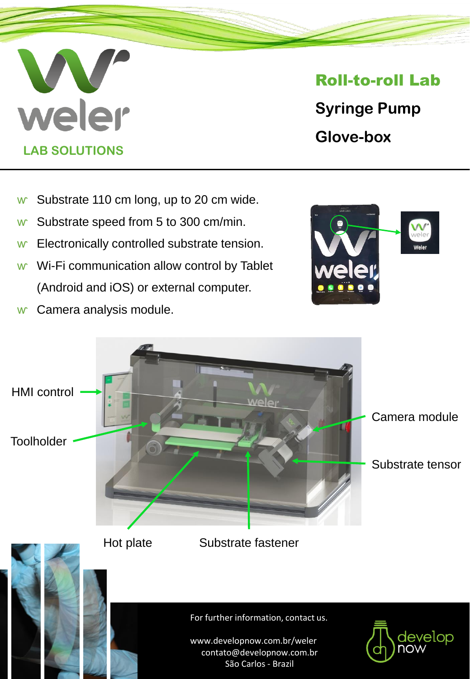# weler **LAB SOLUTIONS**

## Roll-to-roll Lab

**Syringe Pump Glove-box**

- w Substrate 110 cm long, up to 20 cm wide.
- w Substrate speed from 5 to 300 cm/min.
- w Electronically controlled substrate tension.
- w Wi-Fi communication allow control by Tablet (Android and iOS) or external computer.
- w Camera analysis module.



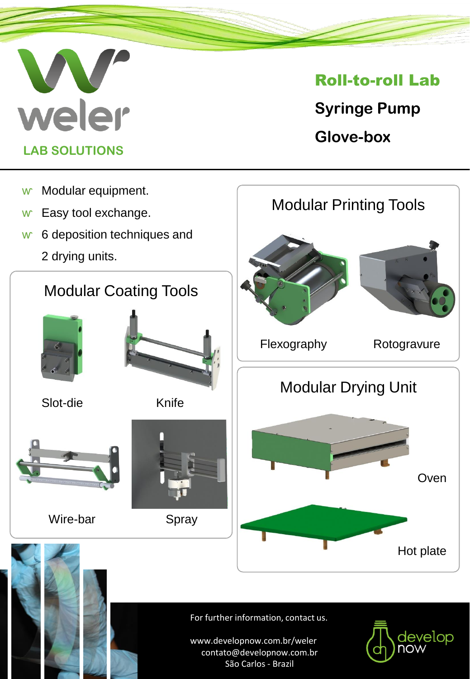

## Roll-to-roll Lab

**Syringe Pump Glove-box**



For further information, contact us.

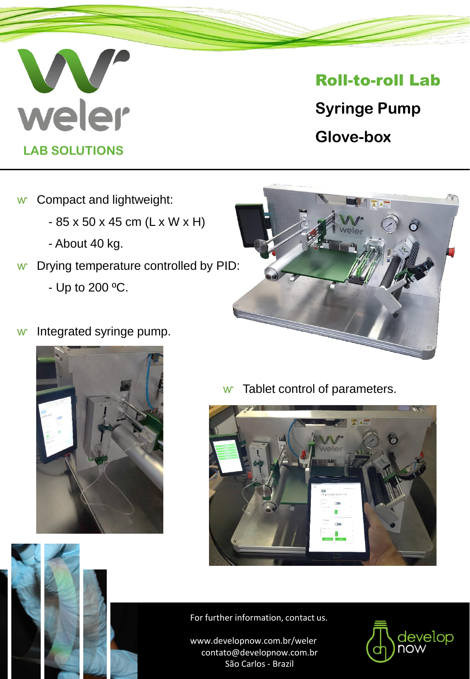

### Roll-to-roll Lab

**Syringe Pump Glove-box**

- w Compact and lightweight:
	- 85 x 50 x 45 cm (L x W x H)
	- About 40 kg.
- w Drying temperature controlled by PID:
	- Up to 200 ºC.
- w Integrated syringe pump.





w Tablet control of parameters.





#### For further information, contact us.

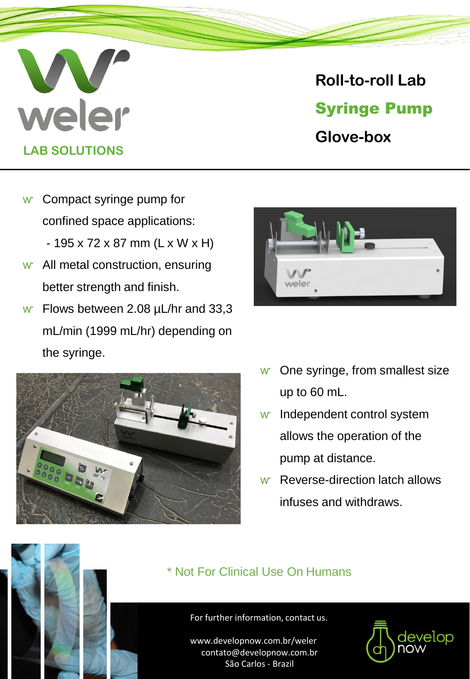# weler **LAB SOLUTIONS**

## **Roll-to-roll Lab** Syringe Pump **Glove-box**

- w Compact syringe pump for confined space applications:  $-195 \times 72 \times 87$  mm (L x W x H)
- w All metal construction, ensuring better strength and finish.
- w Flows between 2.08  $\mu$ L/hr and 33,3 mL/min (1999 mL/hr) depending on the syringe.





- w One syringe, from smallest size up to 60 mL.
- w Independent control system allows the operation of the pump at distance.
- w Reverse-direction latch allows infuses and withdraws.

### \* Not For Clinical Use On Humans



#### For further information, contact us.